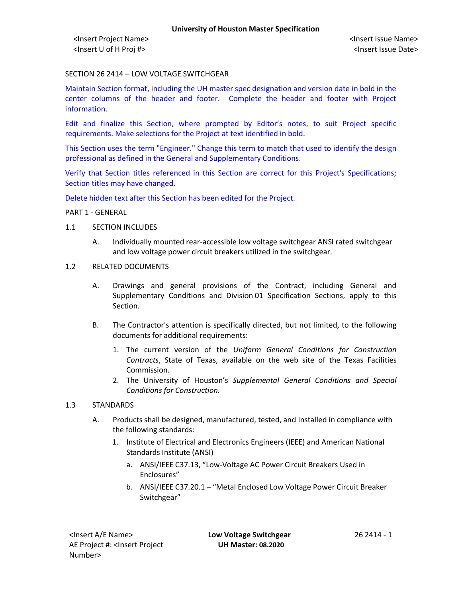# SECTION 26 2414 – LOW VOLTAGE SWITCHGEAR

Maintain Section format, including the UH master spec designation and version date in bold in the center columns of the header and footer. Complete the header and footer with Project information.

Edit and finalize this Section, where prompted by Editor's notes, to suit Project specific requirements. Make selections for the Project at text identified in bold.

This Section uses the term "Engineer." Change this term to match that used to identify the design professional as defined in the General and Supplementary Conditions.

Verify that Section titles referenced in this Section are correct for this Project's Specifications; Section titles may have changed.

Delete hidden text after this Section has been edited for the Project.

PART 1 - GENERAL

#### 1.1 SECTION INCLUDES

A. Individually mounted rear-accessible low voltage switchgear ANSI rated switchgear and low voltage power circuit breakers utilized in the switchgear.

#### 1.2 RELATED DOCUMENTS

- A. Drawings and general provisions of the Contract, including General and Supplementary Conditions and Division 01 Specification Sections, apply to this Section.
- B. The Contractor's attention is specifically directed, but not limited, to the following documents for additional requirements:
	- 1. The current version of the *Uniform General Conditions for Construction Contracts*, State of Texas, available on the web site of the Texas Facilities Commission.
	- 2. The University of Houston's *Supplemental General Conditions and Special Conditions for Construction.*

#### 1.3 STANDARDS

- A. Products shall be designed, manufactured, tested, and installed in compliance with the following standards:
	- 1. Institute of Electrical and Electronics Engineers (IEEE) and American National Standards Institute (ANSI)
		- a. ANSI/IEEE C37.13, "Low-Voltage AC Power Circuit Breakers Used in Enclosures"
		- b. ANSI/IEEE C37.20.1 "Metal Enclosed Low Voltage Power Circuit Breaker Switchgear"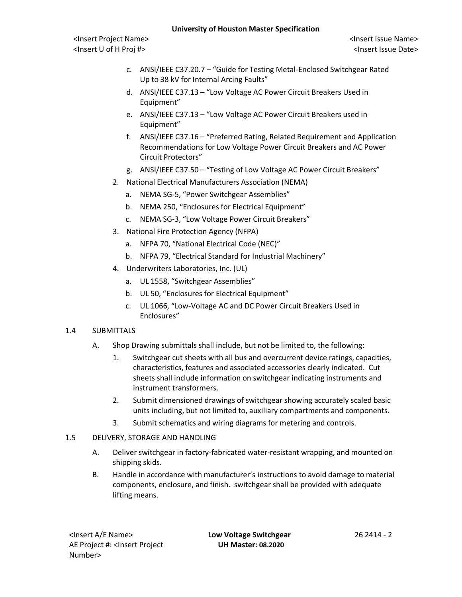<Insert Project Name> <Insert Issue Name> <Insert U of H Proj #> <Insert Issue Date>

- c. ANSI/IEEE C37.20.7 "Guide for Testing Metal-Enclosed Switchgear Rated Up to 38 kV for Internal Arcing Faults"
- d. ANSI/IEEE C37.13 "Low Voltage AC Power Circuit Breakers Used in Equipment"
- e. ANSI/IEEE C37.13 "Low Voltage AC Power Circuit Breakers used in Equipment"
- f. ANSI/IEEE C37.16 "Preferred Rating, Related Requirement and Application Recommendations for Low Voltage Power Circuit Breakers and AC Power Circuit Protectors"
- g. ANSI/IEEE C37.50 "Testing of Low Voltage AC Power Circuit Breakers"
- 2. National Electrical Manufacturers Association (NEMA)
	- a. NEMA SG-5, "Power Switchgear Assemblies"
	- b. NEMA 250, "Enclosures for Electrical Equipment"
	- c. NEMA SG-3, "Low Voltage Power Circuit Breakers"
- 3. National Fire Protection Agency (NFPA)
	- a. NFPA 70, "National Electrical Code (NEC)"
	- b. NFPA 79, "Electrical Standard for Industrial Machinery"
- 4. Underwriters Laboratories, Inc. (UL)
	- a. UL 1558, "Switchgear Assemblies"
	- b. UL 50, "Enclosures for Electrical Equipment"
	- c. UL 1066, "Low-Voltage AC and DC Power Circuit Breakers Used in Enclosures"

# 1.4 SUBMITTALS

- A. Shop Drawing submittals shall include, but not be limited to, the following:
	- 1. Switchgear cut sheets with all bus and overcurrent device ratings, capacities, characteristics, features and associated accessories clearly indicated. Cut sheets shall include information on switchgear indicating instruments and instrument transformers.
	- 2. Submit dimensioned drawings of switchgear showing accurately scaled basic units including, but not limited to, auxiliary compartments and components.
	- 3. Submit schematics and wiring diagrams for metering and controls.
- 1.5 DELIVERY, STORAGE AND HANDLING
	- A. Deliver switchgear in factory-fabricated water-resistant wrapping, and mounted on shipping skids.
	- B. Handle in accordance with manufacturer's instructions to avoid damage to material components, enclosure, and finish. switchgear shall be provided with adequate lifting means.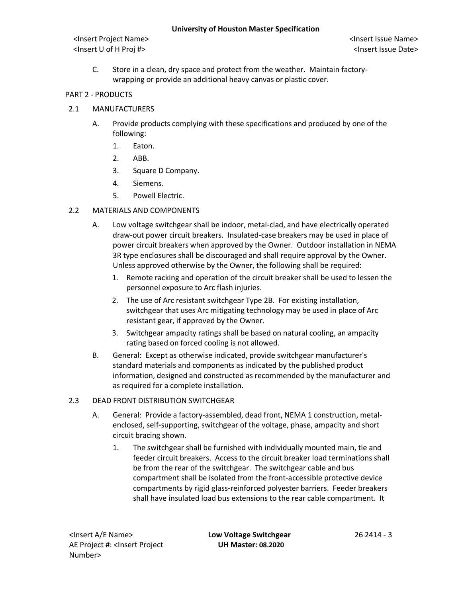C. Store in a clean, dry space and protect from the weather. Maintain factorywrapping or provide an additional heavy canvas or plastic cover.

# PART 2 - PRODUCTS

- 2.1 MANUFACTURERS
	- A. Provide products complying with these specifications and produced by one of the following:
		- 1. Eaton.
		- 2. ABB.
		- 3. Square D Company.
		- 4. Siemens.
		- 5. Powell Electric.
- 2.2 MATERIALS AND COMPONENTS
	- A. Low voltage switchgear shall be indoor, metal-clad, and have electrically operated draw-out power circuit breakers. Insulated-case breakers may be used in place of power circuit breakers when approved by the Owner. Outdoor installation in NEMA 3R type enclosures shall be discouraged and shall require approval by the Owner. Unless approved otherwise by the Owner, the following shall be required:
		- 1. Remote racking and operation of the circuit breaker shall be used to lessen the personnel exposure to Arc flash injuries.
		- 2. The use of Arc resistant switchgear Type 2B. For existing installation, switchgear that uses Arc mitigating technology may be used in place of Arc resistant gear, if approved by the Owner.
		- 3. Switchgear ampacity ratings shall be based on natural cooling, an ampacity rating based on forced cooling is not allowed.
	- B. General: Except as otherwise indicated, provide switchgear manufacturer's standard materials and components as indicated by the published product information, designed and constructed as recommended by the manufacturer and as required for a complete installation.
- 2.3 DEAD FRONT DISTRIBUTION SWITCHGEAR
	- A. General: Provide a factory-assembled, dead front, NEMA 1 construction, metalenclosed, self-supporting, switchgear of the voltage, phase, ampacity and short circuit bracing shown.
		- 1. The switchgear shall be furnished with individually mounted main, tie and feeder circuit breakers. Access to the circuit breaker load terminations shall be from the rear of the switchgear. The switchgear cable and bus compartment shall be isolated from the front-accessible protective device compartments by rigid glass-reinforced polyester barriers. Feeder breakers shall have insulated load bus extensions to the rear cable compartment. It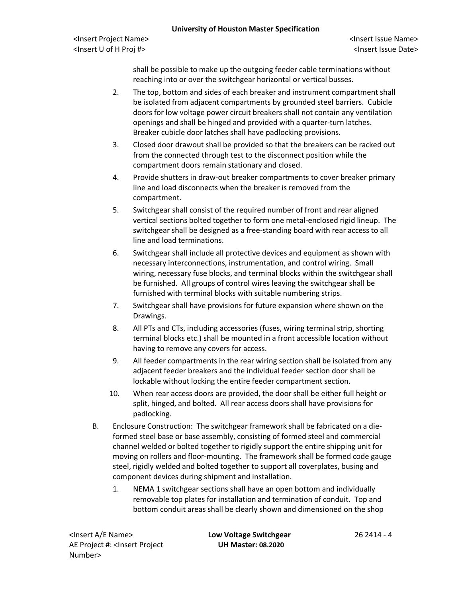<Insert Project Name> <Insert Issue Name> <Insert U of H Proj #> <Insert Issue Date>

shall be possible to make up the outgoing feeder cable terminations without reaching into or over the switchgear horizontal or vertical busses.

- 2. The top, bottom and sides of each breaker and instrument compartment shall be isolated from adjacent compartments by grounded steel barriers. Cubicle doors for low voltage power circuit breakers shall not contain any ventilation openings and shall be hinged and provided with a quarter-turn latches. Breaker cubicle door latches shall have padlocking provisions.
- 3. Closed door drawout shall be provided so that the breakers can be racked out from the connected through test to the disconnect position while the compartment doors remain stationary and closed.
- 4. Provide shutters in draw-out breaker compartments to cover breaker primary line and load disconnects when the breaker is removed from the compartment.
- 5. Switchgear shall consist of the required number of front and rear aligned vertical sections bolted together to form one metal-enclosed rigid lineup. The switchgear shall be designed as a free-standing board with rear access to all line and load terminations.
- 6. Switchgear shall include all protective devices and equipment as shown with necessary interconnections, instrumentation, and control wiring. Small wiring, necessary fuse blocks, and terminal blocks within the switchgear shall be furnished. All groups of control wires leaving the switchgear shall be furnished with terminal blocks with suitable numbering strips.
- 7. Switchgear shall have provisions for future expansion where shown on the Drawings.
- 8. All PTs and CTs, including accessories (fuses, wiring terminal strip, shorting terminal blocks etc.) shall be mounted in a front accessible location without having to remove any covers for access.
- 9. All feeder compartments in the rear wiring section shall be isolated from any adjacent feeder breakers and the individual feeder section door shall be lockable without locking the entire feeder compartment section.
- 10. When rear access doors are provided, the door shall be either full height or split, hinged, and bolted. All rear access doors shall have provisions for padlocking.
- B. Enclosure Construction: The switchgear framework shall be fabricated on a dieformed steel base or base assembly, consisting of formed steel and commercial channel welded or bolted together to rigidly support the entire shipping unit for moving on rollers and floor-mounting. The framework shall be formed code gauge steel, rigidly welded and bolted together to support all coverplates, busing and component devices during shipment and installation.
	- 1. NEMA 1 switchgear sections shall have an open bottom and individually removable top plates for installation and termination of conduit. Top and bottom conduit areas shall be clearly shown and dimensioned on the shop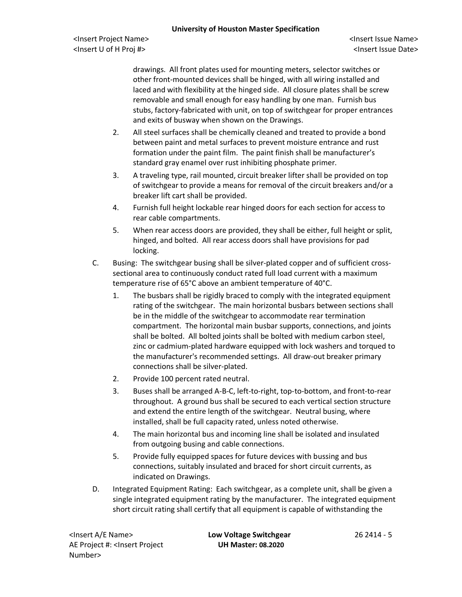<Insert Project Name> <Insert Issue Name> <Insert U of H Proj #> <Insert Issue Date>

drawings. All front plates used for mounting meters, selector switches or other front-mounted devices shall be hinged, with all wiring installed and laced and with flexibility at the hinged side. All closure plates shall be screw removable and small enough for easy handling by one man. Furnish bus stubs, factory-fabricated with unit, on top of switchgear for proper entrances and exits of busway when shown on the Drawings.

- 2. All steel surfaces shall be chemically cleaned and treated to provide a bond between paint and metal surfaces to prevent moisture entrance and rust formation under the paint film. The paint finish shall be manufacturer's standard gray enamel over rust inhibiting phosphate primer.
- 3. A traveling type, rail mounted, circuit breaker lifter shall be provided on top of switchgear to provide a means for removal of the circuit breakers and/or a breaker lift cart shall be provided.
- 4. Furnish full height lockable rear hinged doors for each section for access to rear cable compartments.
- 5. When rear access doors are provided, they shall be either, full height or split, hinged, and bolted. All rear access doors shall have provisions for pad locking.
- C. Busing: The switchgear busing shall be silver-plated copper and of sufficient crosssectional area to continuously conduct rated full load current with a maximum temperature rise of 65°C above an ambient temperature of 40°C.
	- 1. The busbars shall be rigidly braced to comply with the integrated equipment rating of the switchgear. The main horizontal busbars between sections shall be in the middle of the switchgear to accommodate rear termination compartment. The horizontal main busbar supports, connections, and joints shall be bolted. All bolted joints shall be bolted with medium carbon steel, zinc or cadmium-plated hardware equipped with lock washers and torqued to the manufacturer's recommended settings. All draw-out breaker primary connections shall be silver-plated.
	- 2. Provide 100 percent rated neutral.
	- 3. Buses shall be arranged A-B-C, left-to-right, top-to-bottom, and front-to-rear throughout. A ground bus shall be secured to each vertical section structure and extend the entire length of the switchgear. Neutral busing, where installed, shall be full capacity rated, unless noted otherwise.
	- 4. The main horizontal bus and incoming line shall be isolated and insulated from outgoing busing and cable connections.
	- 5. Provide fully equipped spaces for future devices with bussing and bus connections, suitably insulated and braced for short circuit currents, as indicated on Drawings.
- D. Integrated Equipment Rating: Each switchgear, as a complete unit, shall be given a single integrated equipment rating by the manufacturer. The integrated equipment short circuit rating shall certify that all equipment is capable of withstanding the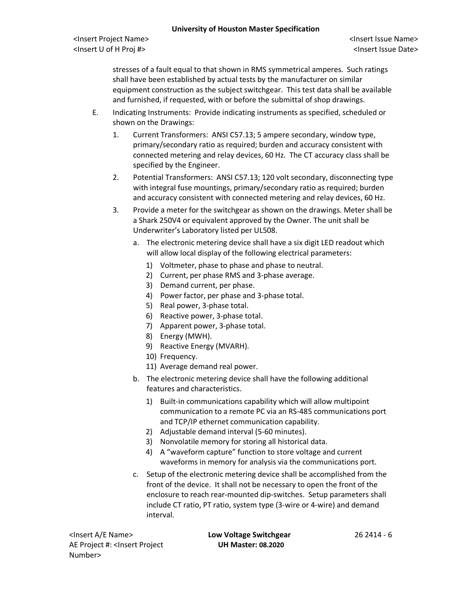<Insert Project Name> <Insert Issue Name> <Insert U of H Proj #> <Insert Issue Date>

stresses of a fault equal to that shown in RMS symmetrical amperes. Such ratings shall have been established by actual tests by the manufacturer on similar equipment construction as the subject switchgear. This test data shall be available and furnished, if requested, with or before the submittal of shop drawings.

- E. Indicating Instruments: Provide indicating instruments as specified, scheduled or shown on the Drawings:
	- 1. Current Transformers: ANSI C57.13; 5 ampere secondary, window type, primary/secondary ratio as required; burden and accuracy consistent with connected metering and relay devices, 60 Hz. The CT accuracy class shall be specified by the Engineer.
	- 2. Potential Transformers: ANSI C57.13; 120 volt secondary, disconnecting type with integral fuse mountings, primary/secondary ratio as required; burden and accuracy consistent with connected metering and relay devices, 60 Hz.
	- 3. Provide a meter for the switchgear as shown on the drawings. Meter shall be a Shark 250V4 or equivalent approved by the Owner. The unit shall be Underwriter's Laboratory listed per UL508.
		- a. The electronic metering device shall have a six digit LED readout which will allow local display of the following electrical parameters:
			- 1) Voltmeter, phase to phase and phase to neutral.
			- 2) Current, per phase RMS and 3-phase average.
			- 3) Demand current, per phase.
			- 4) Power factor, per phase and 3-phase total.
			- 5) Real power, 3-phase total.
			- 6) Reactive power, 3-phase total.
			- 7) Apparent power, 3-phase total.
			- 8) Energy (MWH).
			- 9) Reactive Energy (MVARH).
			- 10) Frequency.
			- 11) Average demand real power.
		- b. The electronic metering device shall have the following additional features and characteristics.
			- 1) Built-in communications capability which will allow multipoint communication to a remote PC via an RS-485 communications port and TCP/IP ethernet communication capability.
			- 2) Adjustable demand interval (5-60 minutes).
			- 3) Nonvolatile memory for storing all historical data.
			- 4) A "waveform capture" function to store voltage and current waveforms in memory for analysis via the communications port.
		- c. Setup of the electronic metering device shall be accomplished from the front of the device. It shall not be necessary to open the front of the enclosure to reach rear-mounted dip-switches. Setup parameters shall include CT ratio, PT ratio, system type (3-wire or 4-wire) and demand interval.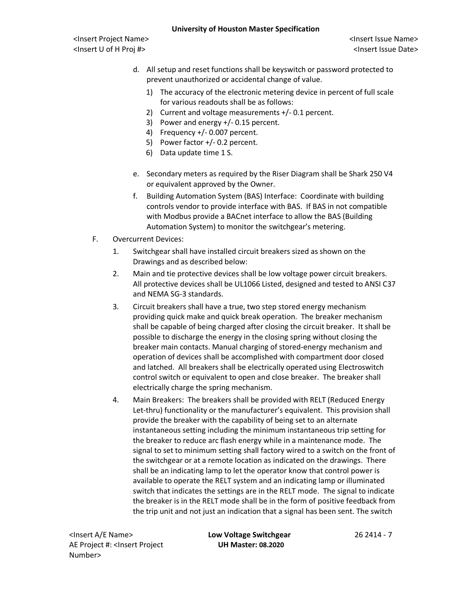- d. All setup and reset functions shall be keyswitch or password protected to prevent unauthorized or accidental change of value.
	- 1) The accuracy of the electronic metering device in percent of full scale for various readouts shall be as follows:
	- 2) Current and voltage measurements +/- 0.1 percent.
	- 3) Power and energy +/- 0.15 percent.
	- 4) Frequency +/- 0.007 percent.
	- 5) Power factor +/- 0.2 percent.
	- 6) Data update time 1 S.
- e. Secondary meters as required by the Riser Diagram shall be Shark 250 V4 or equivalent approved by the Owner.
- f. Building Automation System (BAS) Interface: Coordinate with building controls vendor to provide interface with BAS. If BAS in not compatible with Modbus provide a BACnet interface to allow the BAS (Building Automation System) to monitor the switchgear's metering.
- F. Overcurrent Devices:
	- 1. Switchgear shall have installed circuit breakers sized as shown on the Drawings and as described below:
	- 2. Main and tie protective devices shall be low voltage power circuit breakers. All protective devices shall be UL1066 Listed, designed and tested to ANSI C37 and NEMA SG-3 standards.
	- 3. Circuit breakers shall have a true, two step stored energy mechanism providing quick make and quick break operation. The breaker mechanism shall be capable of being charged after closing the circuit breaker. It shall be possible to discharge the energy in the closing spring without closing the breaker main contacts. Manual charging of stored-energy mechanism and operation of devices shall be accomplished with compartment door closed and latched. All breakers shall be electrically operated using Electroswitch control switch or equivalent to open and close breaker. The breaker shall electrically charge the spring mechanism.
	- 4. Main Breakers: The breakers shall be provided with RELT (Reduced Energy Let-thru) functionality or the manufacturer's equivalent. This provision shall provide the breaker with the capability of being set to an alternate instantaneous setting including the minimum instantaneous trip setting for the breaker to reduce arc flash energy while in a maintenance mode. The signal to set to minimum setting shall factory wired to a switch on the front of the switchgear or at a remote location as indicated on the drawings. There shall be an indicating lamp to let the operator know that control power is available to operate the RELT system and an indicating lamp or illuminated switch that indicates the settings are in the RELT mode. The signal to indicate the breaker is in the RELT mode shall be in the form of positive feedback from the trip unit and not just an indication that a signal has been sent. The switch

<Insert A/E Name> **Low Voltage Switchgear** 26 2414 - 7 AE Project #: <Insert Project Number>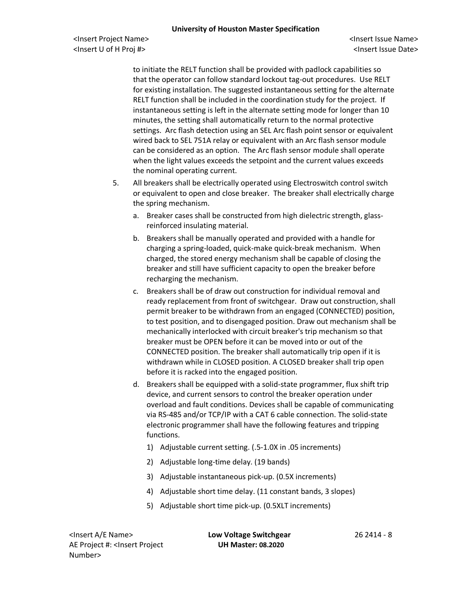to initiate the RELT function shall be provided with padlock capabilities so that the operator can follow standard lockout tag-out procedures. Use RELT for existing installation. The suggested instantaneous setting for the alternate RELT function shall be included in the coordination study for the project. If instantaneous setting is left in the alternate setting mode for longer than 10 minutes, the setting shall automatically return to the normal protective settings. Arc flash detection using an SEL Arc flash point sensor or equivalent wired back to SEL 751A relay or equivalent with an Arc flash sensor module can be considered as an option. The Arc flash sensor module shall operate when the light values exceeds the setpoint and the current values exceeds the nominal operating current.

- 5. All breakers shall be electrically operated using Electroswitch control switch or equivalent to open and close breaker. The breaker shall electrically charge the spring mechanism.
	- a. Breaker cases shall be constructed from high dielectric strength, glassreinforced insulating material.
	- b. Breakers shall be manually operated and provided with a handle for charging a spring-loaded, quick-make quick-break mechanism. When charged, the stored energy mechanism shall be capable of closing the breaker and still have sufficient capacity to open the breaker before recharging the mechanism.
	- c. Breakers shall be of draw out construction for individual removal and ready replacement from front of switchgear. Draw out construction, shall permit breaker to be withdrawn from an engaged (CONNECTED) position, to test position, and to disengaged position. Draw out mechanism shall be mechanically interlocked with circuit breaker's trip mechanism so that breaker must be OPEN before it can be moved into or out of the CONNECTED position. The breaker shall automatically trip open if it is withdrawn while in CLOSED position. A CLOSED breaker shall trip open before it is racked into the engaged position.
	- d. Breakers shall be equipped with a solid-state programmer, flux shift trip device, and current sensors to control the breaker operation under overload and fault conditions. Devices shall be capable of communicating via RS-485 and/or TCP/IP with a CAT 6 cable connection. The solid-state electronic programmer shall have the following features and tripping functions.
		- 1) Adjustable current setting. (.5-1.0X in .05 increments)
		- 2) Adjustable long-time delay. (19 bands)
		- 3) Adjustable instantaneous pick-up. (0.5X increments)
		- 4) Adjustable short time delay. (11 constant bands, 3 slopes)
		- 5) Adjustable short time pick-up. (0.5XLT increments)

<Insert A/E Name> **Low Voltage Switchgear** 26 2414 - 8 AE Project #: <Insert Project Number>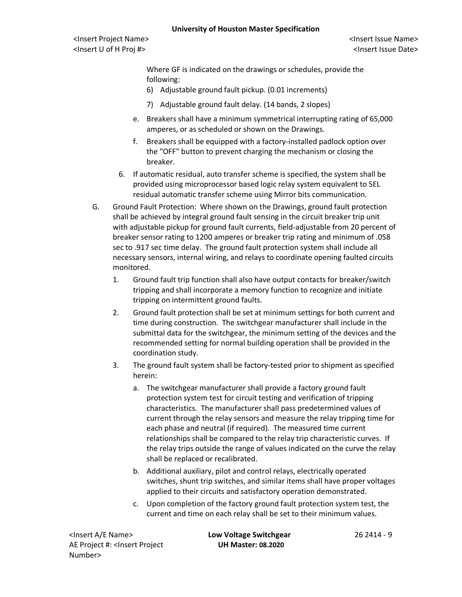Where GF is indicated on the drawings or schedules, provide the following:

- 6) Adjustable ground fault pickup. (0.01 increments)
- 7) Adjustable ground fault delay. (14 bands, 2 slopes)
- e. Breakers shall have a minimum symmetrical interrupting rating of 65,000 amperes, or as scheduled or shown on the Drawings.
- f. Breakers shall be equipped with a factory-installed padlock option over the "OFF" button to prevent charging the mechanism or closing the breaker.
- 6. If automatic residual, auto transfer scheme is specified, the system shall be provided using microprocessor based logic relay system equivalent to SEL residual automatic transfer scheme using Mirror bits communication.
- G. Ground Fault Protection: Where shown on the Drawings, ground fault protection shall be achieved by integral ground fault sensing in the circuit breaker trip unit with adjustable pickup for ground fault currents, field-adjustable from 20 percent of breaker sensor rating to 1200 amperes or breaker trip rating and minimum of .058 sec to .917 sec time delay. The ground fault protection system shall include all necessary sensors, internal wiring, and relays to coordinate opening faulted circuits monitored.
	- 1. Ground fault trip function shall also have output contacts for breaker/switch tripping and shall incorporate a memory function to recognize and initiate tripping on intermittent ground faults.
	- 2. Ground fault protection shall be set at minimum settings for both current and time during construction. The switchgear manufacturer shall include in the submittal data for the switchgear, the minimum setting of the devices and the recommended setting for normal building operation shall be provided in the coordination study.
	- 3. The ground fault system shall be factory-tested prior to shipment as specified herein:
		- a. The switchgear manufacturer shall provide a factory ground fault protection system test for circuit testing and verification of tripping characteristics. The manufacturer shall pass predetermined values of current through the relay sensors and measure the relay tripping time for each phase and neutral (if required). The measured time current relationships shall be compared to the relay trip characteristic curves. If the relay trips outside the range of values indicated on the curve the relay shall be replaced or recalibrated.
		- b. Additional auxiliary, pilot and control relays, electrically operated switches, shunt trip switches, and similar items shall have proper voltages applied to their circuits and satisfactory operation demonstrated.
		- c. Upon completion of the factory ground fault protection system test, the current and time on each relay shall be set to their minimum values.

<Insert A/E Name> **Low Voltage Switchgear** 26 2414 - 9 AE Project #: <Insert Project Number>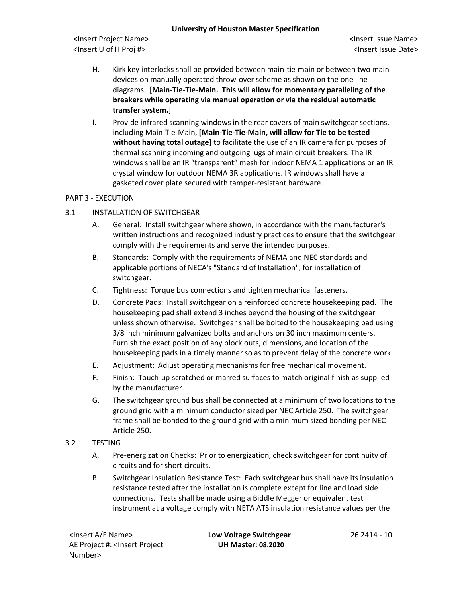<Insert Project Name> <Insert Issue Name> <Insert U of H Proj #> <Insert Issue Date>

- H. Kirk key interlocks shall be provided between main-tie-main or between two main devices on manually operated throw-over scheme as shown on the one line diagrams. [**Main-Tie-Tie-Main. This will allow for momentary paralleling of the breakers while operating via manual operation or via the residual automatic transfer system.**]
- I. Provide infrared scanning windows in the rear covers of main switchgear sections, including Main-Tie-Main, **[Main-Tie-Tie-Main, will allow for Tie to be tested without having total outage]** to facilitate the use of an IR camera for purposes of thermal scanning incoming and outgoing lugs of main circuit breakers. The IR windows shall be an IR "transparent" mesh for indoor NEMA 1 applications or an IR crystal window for outdoor NEMA 3R applications. IR windows shall have a gasketed cover plate secured with tamper-resistant hardware.

# PART 3 - EXECUTION

- 3.1 INSTALLATION OF SWITCHGEAR
	- A. General: Install switchgear where shown, in accordance with the manufacturer's written instructions and recognized industry practices to ensure that the switchgear comply with the requirements and serve the intended purposes.
	- B. Standards: Comply with the requirements of NEMA and NEC standards and applicable portions of NECA's "Standard of Installation", for installation of switchgear.
	- C. Tightness: Torque bus connections and tighten mechanical fasteners.
	- D. Concrete Pads: Install switchgear on a reinforced concrete housekeeping pad. The housekeeping pad shall extend 3 inches beyond the housing of the switchgear unless shown otherwise. Switchgear shall be bolted to the housekeeping pad using 3/8 inch minimum galvanized bolts and anchors on 30 inch maximum centers. Furnish the exact position of any block outs, dimensions, and location of the housekeeping pads in a timely manner so as to prevent delay of the concrete work.
	- E. Adjustment: Adjust operating mechanisms for free mechanical movement.
	- F. Finish: Touch-up scratched or marred surfaces to match original finish as supplied by the manufacturer.
	- G. The switchgear ground bus shall be connected at a minimum of two locations to the ground grid with a minimum conductor sized per NEC Article 250. The switchgear frame shall be bonded to the ground grid with a minimum sized bonding per NEC Article 250.
- 3.2 TESTING
	- A. Pre-energization Checks: Prior to energization, check switchgear for continuity of circuits and for short circuits.
	- B. Switchgear Insulation Resistance Test: Each switchgear bus shall have its insulation resistance tested after the installation is complete except for line and load side connections. Tests shall be made using a Biddle Megger or equivalent test instrument at a voltage comply with NETA ATS insulation resistance values per the